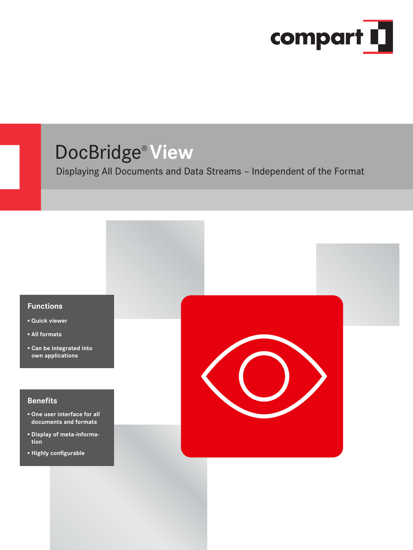

## DocBridge® **View**

Displaying All Documents and Data Streams – Independent of the Format

## **Functions**

- **▪ Quick viewer**
- **▪ All formats**
- **▪ Can be integrated into own applications**

## **Benefits**

- **▪ One user interface for all documents and formats**
- **▪ Display of meta-information**
- **▪ Highly configurable**

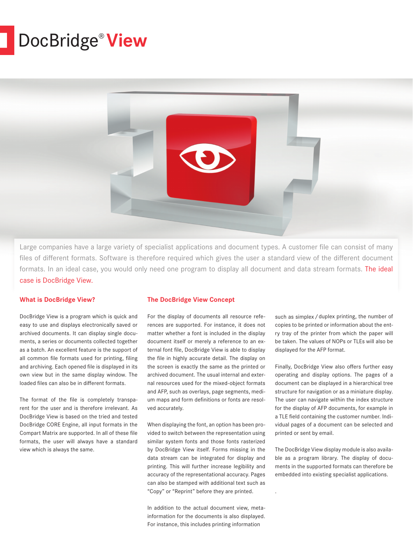# DocBridge® **View**



Large companies have a large variety of specialist applications and document types. A customer file can consist of many files of different formats. Software is therefore required which gives the user a standard view of the different document formats. In an ideal case, you would only need one program to display all document and data stream formats. The ideal case is DocBridge View.

## **What is DocBridge View?**

DocBridge View is a program which is quick and easy to use and displays electronically saved or archived documents. It can display single documents, a series or documents collected together as a batch. An excellent feature is the support of all common file formats used for printing, filing and archiving. Each opened file is displayed in its own view but in the same display window. The loaded files can also be in different formats.

The format of the file is completely transparent for the user and is therefore irrelevant. As DocBridge View is based on the tried and tested DocBridge CORE Engine, all input formats in the Compart Matrix are supported. In all of these file formats, the user will always have a standard view which is always the same.

#### **The DocBridge View Concept**

For the display of documents all resource references are supported. For instance, it does not matter whether a font is included in the display document itself or merely a reference to an external font file, DocBridge View is able to display the file in highly accurate detail. The display on the screen is exactly the same as the printed or archived document. The usual internal and external resources used for the mixed-object formats and AFP, such as overlays, page segments, medium maps and form definitions or fonts are resolved accurately.

When displaying the font, an option has been provided to switch between the representation using similar system fonts and those fonts rasterized by DocBridge View itself. Forms missing in the data stream can be integrated for display and printing. This will further increase legibility and accuracy of the representational accuracy. Pages can also be stamped with additional text such as "Copy" or "Reprint" before they are printed.

In addition to the actual document view, metainformation for the documents is also displayed. For instance, this includes printing information

such as simplex/duplex printing, the number of copies to be printed or information about the entry tray of the printer from which the paper will be taken. The values of NOPs or TLEs will also be displayed for the AFP format.

Finally, DocBridge View also offers further easy operating and display options. The pages of a document can be displayed in a hierarchical tree structure for navigation or as a miniature display. The user can navigate within the index structure for the display of AFP documents, for example in a TLE field containing the customer number. Individual pages of a document can be selected and printed or sent by email.

The DocBridge View display module is also available as a program library. The display of documents in the supported formats can therefore be embedded into existing specialist applications.

. Formate in bestehende Fach-Anwendungen ein-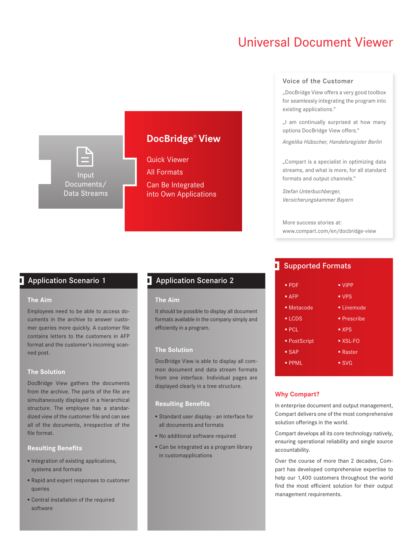## **Universal Document Viewer**

## Input Documents/ Data Streams

## **DocBridge<sup>®</sup> View**

Quick Viewer All Formats Can Be Integrated into Own Applications

## **Application Scenario 1** Application Scenario 2

#### **The Aim**

Employees need to be able to access documents in the archive to answer customer queries more quickly. A customer file contains letters to the customers in AFP format and the customer's incoming scanned post.

## **The Solution**

Documents/ Data Streams

Document structure. The employee has a standardized view of the customer file and can see DocBridge View gathers the documents from the archive. The parts of the file are simultaneously displayed in a hierarchical all of the documents, irrespective of the file format.

## **Resulting Benefits**

- **▪** Integration of existing applications, systems and formats
- **▪** Rapid and expert responses to customer queries
- **▪** Central installation of the required software

## **DocBridge Pilot ®**

## **The Aim**

**Configuration It should be possible to display all document** formats available in the company simply and efficiently in a program.

## **The Solution**

displayed clearly in a tree structure. DocBridge View is able to display all common document and data stream formats from one interface. Individual pages are

## **Resulting Benefits**

- Standard user display an interface for all documents and formats
- **Randiditional software required**
- Can be integrated as a program library in customapplications

### Voice of the Customer

"DocBridge View offers a very good toolbox for seamlessly integrating the program into existing applications."

"I am continually surprised at how many options DocBridge View offers."

*Angelika Hübscher, Handelsregister Berlin*

"Compart is a specialist in optimizing data streams, and what is more, for all standard formats and output channels."

*Stefan Unterbuchberger, Versicherungskammer Bayern*

More success stories at: www.compart.com/en/docbridge-view

## **B** Supported Formats

| $\blacksquare$ PDF  | $\blacksquare$ VIPP      |
|---------------------|--------------------------|
| AFP                 | $\blacksquare$ VPS       |
| • Metacode          | • Linemode               |
| $-LCDS$             | $\blacksquare$ Prescribe |
| PCL                 | $\blacksquare$ XPS       |
| ■ PostScript        | $\blacksquare$ XSL-FO    |
| $-$ SAP             | $\blacksquare$ Raster    |
| $\blacksquare$ PPML | $\blacksquare$ SVG       |
|                     |                          |

## **Why Compart?**

In enterprise document and output management, Compart delivers one or the me<br>solution offerings in the world. Compart delivers one of the most comprehensive

Compart develops all its core technology natively, ensuring operational reliability and single source accountability.

Over the course of more than 2 decades, Compart has developed comprehensive expertise to help our 1,400 customers throughout the world find the most efficient solution for their output management requirements.